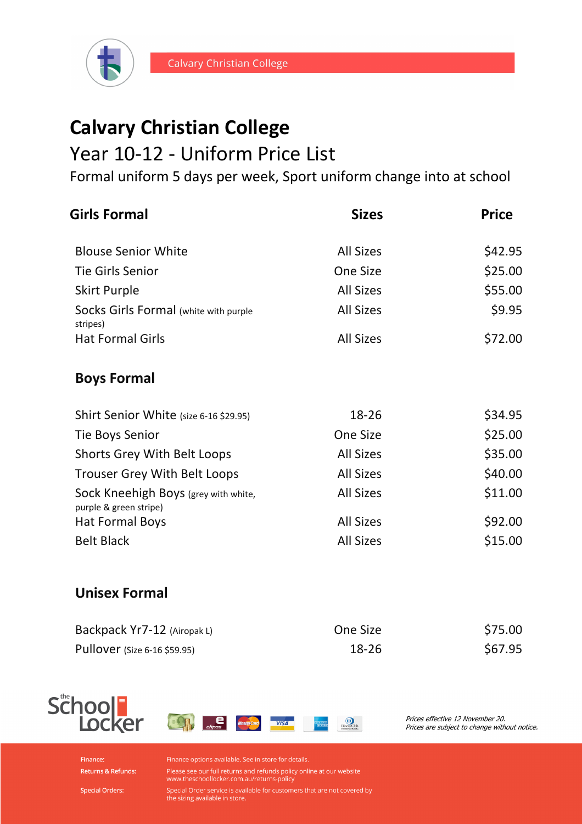

# **Calvary Christian College**

### Year 10-12 - Uniform Price List

Formal uniform 5 days per week, Sport uniform change into at school

| <b>Girls Formal</b>                                            | <b>Sizes</b>     | <b>Price</b> |
|----------------------------------------------------------------|------------------|--------------|
| <b>Blouse Senior White</b>                                     | <b>All Sizes</b> | \$42.95      |
| <b>Tie Girls Senior</b>                                        | One Size         | \$25.00      |
| <b>Skirt Purple</b>                                            | <b>All Sizes</b> | \$55.00      |
| Socks Girls Formal (white with purple<br>stripes)              | <b>All Sizes</b> | \$9.95       |
| <b>Hat Formal Girls</b>                                        | <b>All Sizes</b> | \$72.00      |
| <b>Boys Formal</b>                                             |                  |              |
| Shirt Senior White (size 6-16 \$29.95)                         | 18-26            | \$34.95      |
| <b>Tie Boys Senior</b>                                         | One Size         | \$25.00      |
| Shorts Grey With Belt Loops                                    | <b>All Sizes</b> | \$35.00      |
| <b>Trouser Grey With Belt Loops</b>                            | <b>All Sizes</b> | \$40.00      |
| Sock Kneehigh Boys (grey with white,<br>purple & green stripe) | <b>All Sizes</b> | \$11.00      |
| <b>Hat Formal Boys</b>                                         | <b>All Sizes</b> | \$92.00      |
| <b>Belt Black</b>                                              | <b>All Sizes</b> | \$15.00      |
|                                                                |                  |              |

#### **Unisex Formal**

| Backpack Yr7-12 (Airopak L)         | One Size | \$75.00 |
|-------------------------------------|----------|---------|
| <b>Pullover</b> (Size 6-16 \$59.95) | 18-26    | \$67.95 |





Prices effective 12 November 20. Prices are subject to change without notice.

Finance: Returns & Refunds:

**Special Orders:** 

Finance options available. See in store for details.

Please see our full returns and refunds policy online at our website www.theschoollocker.com.au/returns-policy

Special Order service is available for customers that are not covered by<br>the sizing available in store.